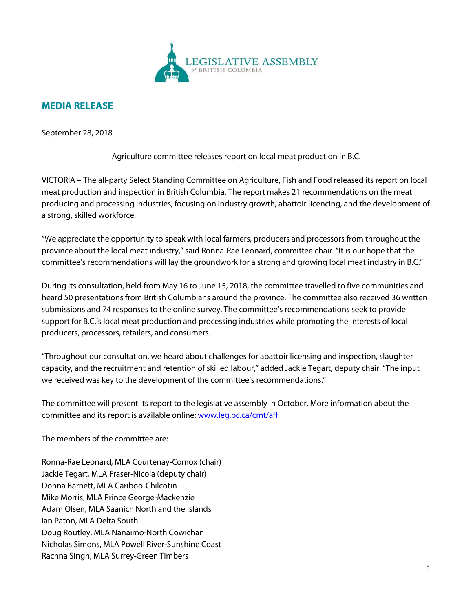

## **MEDIA RELEASE**

September 28, 2018

Agriculture committee releases report on local meat production in B.C.

VICTORIA – The all-party Select Standing Committee on Agriculture, Fish and Food released its report on local meat production and inspection in British Columbia. The report makes 21 recommendations on the meat producing and processing industries, focusing on industry growth, abattoir licencing, and the development of a strong, skilled workforce.

"We appreciate the opportunity to speak with local farmers, producers and processors from throughout the province about the local meat industry," said Ronna-Rae Leonard, committee chair. "It is our hope that the committee's recommendations will lay the groundwork for a strong and growing local meat industry in B.C."

During its consultation, held from May 16 to June 15, 2018, the committee travelled to five communities and heard 50 presentations from British Columbians around the province. The committee also received 36 written submissions and 74 responses to the online survey. The committee's recommendations seek to provide support for B.C.'s local meat production and processing industries while promoting the interests of local producers, processors, retailers, and consumers.

"Throughout our consultation, we heard about challenges for abattoir licensing and inspection, slaughter capacity, and the recruitment and retention of skilled labour," added Jackie Tegart, deputy chair. "The input we received was key to the development of the committee's recommendations."

The committee will present its report to the legislative assembly in October. More information about the committee and its report is available online: [www.leg.bc.ca/cmt/aff](http://www.leg.bc.ca/cmt/aff)

The members of the committee are:

Ronna-Rae Leonard, MLA Courtenay-Comox (chair) Jackie Tegart, MLA Fraser-Nicola (deputy chair) Donna Barnett, MLA Cariboo-Chilcotin Mike Morris, MLA Prince George-Mackenzie Adam Olsen, MLA Saanich North and the Islands Ian Paton, MLA Delta South Doug Routley, MLA Nanaimo-North Cowichan Nicholas Simons, MLA Powell River-Sunshine Coast Rachna Singh, MLA Surrey-Green Timbers